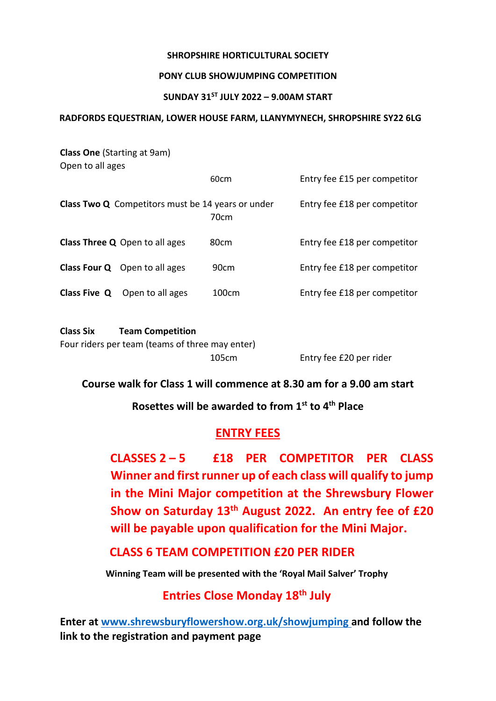#### **SHROPSHIRE HORTICULTURAL SOCIETY**

#### **PONY CLUB SHOWJUMPING COMPETITION**

#### **SUNDAY 31ST JULY 2022 – 9.00AM START**

#### **RADFORDS EQUESTRIAN, LOWER HOUSE FARM, LLANYMYNECH, SHROPSHIRE SY22 6LG**

| <b>Class One (Starting at 9am)</b> |                                                          |                  |                              |
|------------------------------------|----------------------------------------------------------|------------------|------------------------------|
| Open to all ages                   |                                                          | 60 <sub>cm</sub> |                              |
|                                    |                                                          |                  | Entry fee £15 per competitor |
|                                    | <b>Class Two Q</b> Competitors must be 14 years or under | 70cm             | Entry fee £18 per competitor |
|                                    | <b>Class Three Q</b> Open to all ages                    | 80cm             | Entry fee £18 per competitor |
|                                    | <b>Class Four Q</b> Open to all ages                     | 90cm             | Entry fee £18 per competitor |
|                                    | <b>Class Five Q</b> Open to all ages                     | 100cm            | Entry fee £18 per competitor |
| <b>Class Six</b>                   | <b>Team Competition</b>                                  |                  |                              |

#### **Course walk for Class 1 will commence at 8.30 am for a 9.00 am start**

Four riders per team (teams of three may enter)

#### **Rosettes will be awarded to from 1st to 4th Place**

#### **ENTRY FEES**

**CLASSES 2 – 5 £18 PER COMPETITOR PER CLASS Winner and first runner up of each class will qualify to jump in the Mini Major competition at the Shrewsbury Flower Show on Saturday 13th August 2022. An entry fee of £20 will be payable upon qualification for the Mini Major.**

105cm Entry fee £20 per rider

#### **CLASS 6 TEAM COMPETITION £20 PER RIDER**

**Winning Team will be presented with the 'Royal Mail Salver' Trophy**

### **Entries Close Monday 18th July**

**Enter at [www.shrewsburyflowershow.org.uk/showjumping a](http://www.shrewsburyflowershow.org.uk/showjumping)nd follow the link to the registration and payment page**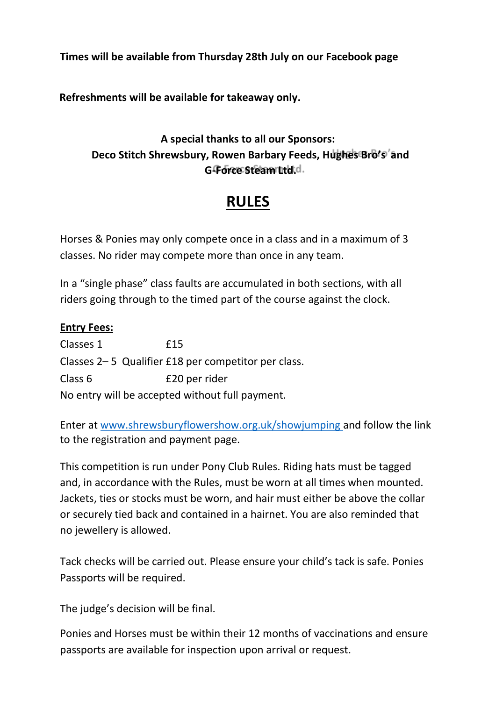**Times will be available from Thursday 28th July on our Facebook page** 

**Refreshments will be available for takeaway only.**

## **A special thanks to all our Sponsors: Deco Stitch Shrewsbury, Rowen Barbary Feeds, Hughes Bro's and** G-Force Steam Italia.

# **RULES**

Horses & Ponies may only compete once in a class and in a maximum of 3 classes. No rider may compete more than once in any team.

In a "single phase" class faults are accumulated in both sections, with all riders going through to the timed part of the course against the clock.

#### **Entry Fees:**

Classes 1 £15 Classes 2– 5 Qualifier £18 per competitor per class. Class 6 £20 per rider No entry will be accepted without full payment.

Enter at [www.shrewsburyflowershow.org.uk/showjumping a](http://www.shrewsburyflowershow.org.uk/showjumping)nd follow the link to the registration and payment page.

This competition is run under Pony Club Rules. Riding hats must be tagged and, in accordance with the Rules, must be worn at all times when mounted. Jackets, ties or stocks must be worn, and hair must either be above the collar or securely tied back and contained in a hairnet. You are also reminded that no jewellery is allowed.

Tack checks will be carried out. Please ensure your child's tack is safe. Ponies Passports will be required.

The judge's decision will be final.

Ponies and Horses must be within their 12 months of vaccinations and ensure passports are available for inspection upon arrival or request.